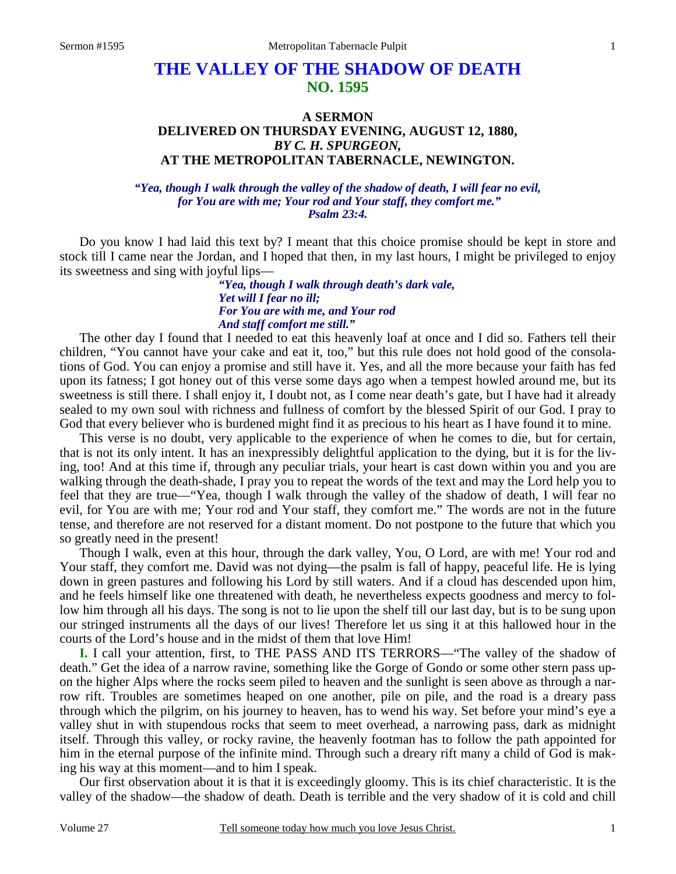# **THE VALLEY OF THE SHADOW OF DEATH NO. 1595**

# **A SERMON DELIVERED ON THURSDAY EVENING, AUGUST 12, 1880,**  *BY C. H. SPURGEON,*  **AT THE METROPOLITAN TABERNACLE, NEWINGTON.**

#### *"Yea, though I walk through the valley of the shadow of death, I will fear no evil, for You are with me; Your rod and Your staff, they comfort me." Psalm 23:4.*

Do you know I had laid this text by? I meant that this choice promise should be kept in store and stock till I came near the Jordan, and I hoped that then, in my last hours, I might be privileged to enjoy its sweetness and sing with joyful lips—

> *"Yea, though I walk through death's dark vale, Yet will I fear no ill; For You are with me, and Your rod And staff comfort me still."*

 The other day I found that I needed to eat this heavenly loaf at once and I did so. Fathers tell their children, "You cannot have your cake and eat it, too," but this rule does not hold good of the consolations of God. You can enjoy a promise and still have it. Yes, and all the more because your faith has fed upon its fatness; I got honey out of this verse some days ago when a tempest howled around me, but its sweetness is still there. I shall enjoy it, I doubt not, as I come near death's gate, but I have had it already sealed to my own soul with richness and fullness of comfort by the blessed Spirit of our God. I pray to God that every believer who is burdened might find it as precious to his heart as I have found it to mine.

 This verse is no doubt, very applicable to the experience of when he comes to die, but for certain, that is not its only intent. It has an inexpressibly delightful application to the dying, but it is for the living, too! And at this time if, through any peculiar trials, your heart is cast down within you and you are walking through the death-shade, I pray you to repeat the words of the text and may the Lord help you to feel that they are true—"Yea, though I walk through the valley of the shadow of death, I will fear no evil, for You are with me; Your rod and Your staff, they comfort me." The words are not in the future tense, and therefore are not reserved for a distant moment. Do not postpone to the future that which you so greatly need in the present!

 Though I walk, even at this hour, through the dark valley, You, O Lord, are with me! Your rod and Your staff, they comfort me. David was not dying—the psalm is fall of happy, peaceful life. He is lying down in green pastures and following his Lord by still waters. And if a cloud has descended upon him, and he feels himself like one threatened with death, he nevertheless expects goodness and mercy to follow him through all his days. The song is not to lie upon the shelf till our last day, but is to be sung upon our stringed instruments all the days of our lives! Therefore let us sing it at this hallowed hour in the courts of the Lord's house and in the midst of them that love Him!

**I.** I call your attention, first, to THE PASS AND ITS TERRORS—"The valley of the shadow of death." Get the idea of a narrow ravine, something like the Gorge of Gondo or some other stern pass upon the higher Alps where the rocks seem piled to heaven and the sunlight is seen above as through a narrow rift. Troubles are sometimes heaped on one another, pile on pile, and the road is a dreary pass through which the pilgrim, on his journey to heaven, has to wend his way. Set before your mind's eye a valley shut in with stupendous rocks that seem to meet overhead, a narrowing pass, dark as midnight itself. Through this valley, or rocky ravine, the heavenly footman has to follow the path appointed for him in the eternal purpose of the infinite mind. Through such a dreary rift many a child of God is making his way at this moment—and to him I speak.

 Our first observation about it is that it is exceedingly gloomy. This is its chief characteristic. It is the valley of the shadow—the shadow of death. Death is terrible and the very shadow of it is cold and chill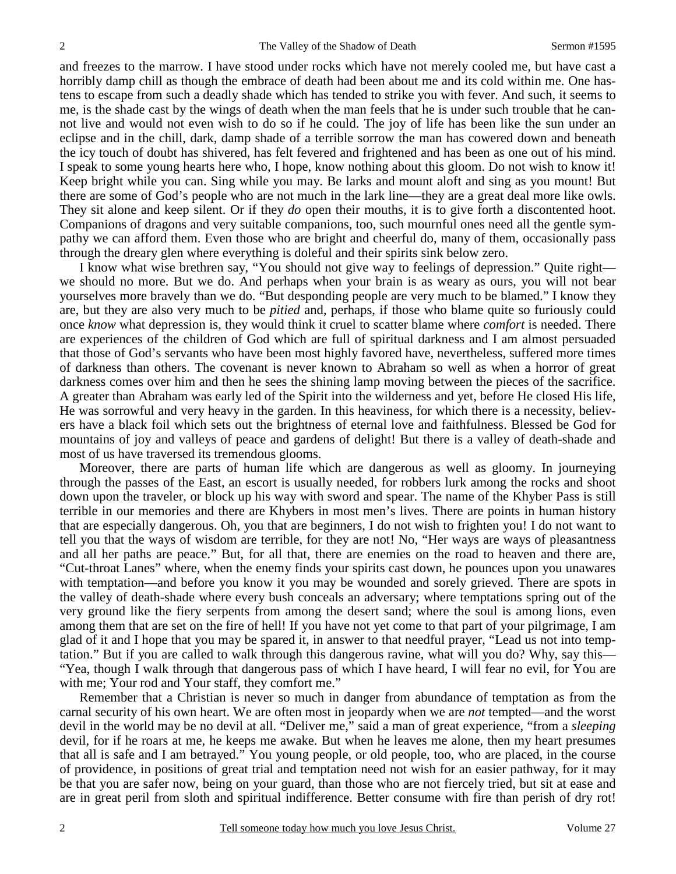and freezes to the marrow. I have stood under rocks which have not merely cooled me, but have cast a horribly damp chill as though the embrace of death had been about me and its cold within me. One hastens to escape from such a deadly shade which has tended to strike you with fever. And such, it seems to me, is the shade cast by the wings of death when the man feels that he is under such trouble that he cannot live and would not even wish to do so if he could. The joy of life has been like the sun under an eclipse and in the chill, dark, damp shade of a terrible sorrow the man has cowered down and beneath the icy touch of doubt has shivered, has felt fevered and frightened and has been as one out of his mind. I speak to some young hearts here who, I hope, know nothing about this gloom. Do not wish to know it! Keep bright while you can. Sing while you may. Be larks and mount aloft and sing as you mount! But there are some of God's people who are not much in the lark line—they are a great deal more like owls. They sit alone and keep silent. Or if they *do* open their mouths, it is to give forth a discontented hoot. Companions of dragons and very suitable companions, too, such mournful ones need all the gentle sympathy we can afford them. Even those who are bright and cheerful do, many of them, occasionally pass through the dreary glen where everything is doleful and their spirits sink below zero.

 I know what wise brethren say, "You should not give way to feelings of depression." Quite right we should no more. But we do. And perhaps when your brain is as weary as ours, you will not bear yourselves more bravely than we do. "But desponding people are very much to be blamed." I know they are, but they are also very much to be *pitied* and, perhaps, if those who blame quite so furiously could once *know* what depression is, they would think it cruel to scatter blame where *comfort* is needed. There are experiences of the children of God which are full of spiritual darkness and I am almost persuaded that those of God's servants who have been most highly favored have, nevertheless, suffered more times of darkness than others. The covenant is never known to Abraham so well as when a horror of great darkness comes over him and then he sees the shining lamp moving between the pieces of the sacrifice. A greater than Abraham was early led of the Spirit into the wilderness and yet, before He closed His life, He was sorrowful and very heavy in the garden. In this heaviness, for which there is a necessity, believers have a black foil which sets out the brightness of eternal love and faithfulness. Blessed be God for mountains of joy and valleys of peace and gardens of delight! But there is a valley of death-shade and most of us have traversed its tremendous glooms.

 Moreover, there are parts of human life which are dangerous as well as gloomy. In journeying through the passes of the East, an escort is usually needed, for robbers lurk among the rocks and shoot down upon the traveler, or block up his way with sword and spear. The name of the Khyber Pass is still terrible in our memories and there are Khybers in most men's lives. There are points in human history that are especially dangerous. Oh, you that are beginners, I do not wish to frighten you! I do not want to tell you that the ways of wisdom are terrible, for they are not! No, "Her ways are ways of pleasantness and all her paths are peace." But, for all that, there are enemies on the road to heaven and there are, "Cut-throat Lanes" where, when the enemy finds your spirits cast down, he pounces upon you unawares with temptation—and before you know it you may be wounded and sorely grieved. There are spots in the valley of death-shade where every bush conceals an adversary; where temptations spring out of the very ground like the fiery serpents from among the desert sand; where the soul is among lions, even among them that are set on the fire of hell! If you have not yet come to that part of your pilgrimage, I am glad of it and I hope that you may be spared it, in answer to that needful prayer, "Lead us not into temptation." But if you are called to walk through this dangerous ravine, what will you do? Why, say this— "Yea, though I walk through that dangerous pass of which I have heard, I will fear no evil, for You are with me; Your rod and Your staff, they comfort me."

 Remember that a Christian is never so much in danger from abundance of temptation as from the carnal security of his own heart. We are often most in jeopardy when we are *not* tempted—and the worst devil in the world may be no devil at all. "Deliver me," said a man of great experience, "from a *sleeping* devil, for if he roars at me, he keeps me awake. But when he leaves me alone, then my heart presumes that all is safe and I am betrayed." You young people, or old people, too, who are placed, in the course of providence, in positions of great trial and temptation need not wish for an easier pathway, for it may be that you are safer now, being on your guard, than those who are not fiercely tried, but sit at ease and are in great peril from sloth and spiritual indifference. Better consume with fire than perish of dry rot!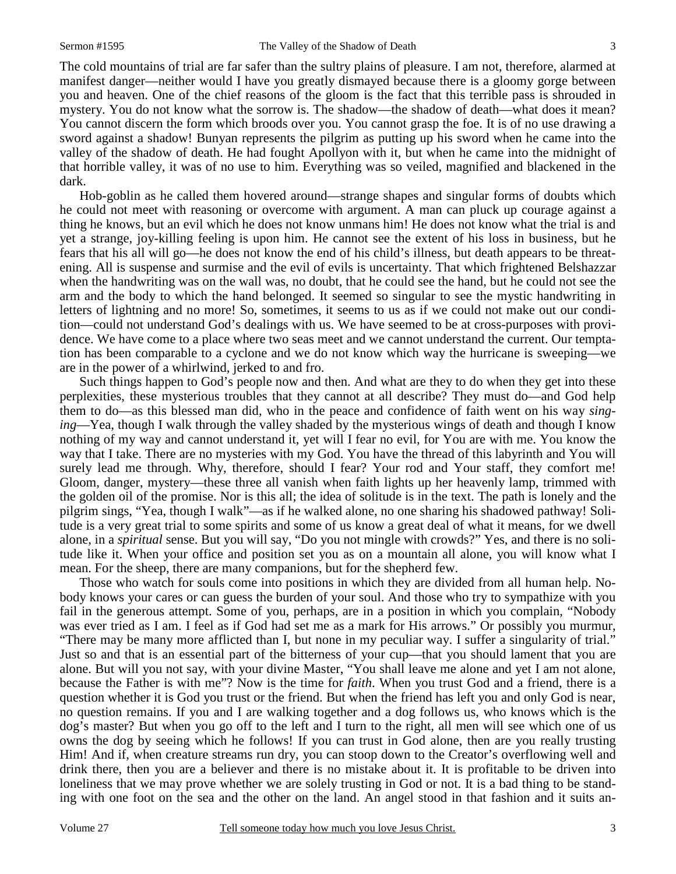The cold mountains of trial are far safer than the sultry plains of pleasure. I am not, therefore, alarmed at manifest danger—neither would I have you greatly dismayed because there is a gloomy gorge between you and heaven. One of the chief reasons of the gloom is the fact that this terrible pass is shrouded in mystery. You do not know what the sorrow is. The shadow—the shadow of death—what does it mean? You cannot discern the form which broods over you. You cannot grasp the foe. It is of no use drawing a sword against a shadow! Bunyan represents the pilgrim as putting up his sword when he came into the valley of the shadow of death. He had fought Apollyon with it, but when he came into the midnight of that horrible valley, it was of no use to him. Everything was so veiled, magnified and blackened in the dark.

 Hob-goblin as he called them hovered around—strange shapes and singular forms of doubts which he could not meet with reasoning or overcome with argument. A man can pluck up courage against a thing he knows, but an evil which he does not know unmans him! He does not know what the trial is and yet a strange, joy-killing feeling is upon him. He cannot see the extent of his loss in business, but he fears that his all will go—he does not know the end of his child's illness, but death appears to be threatening. All is suspense and surmise and the evil of evils is uncertainty. That which frightened Belshazzar when the handwriting was on the wall was, no doubt, that he could see the hand, but he could not see the arm and the body to which the hand belonged. It seemed so singular to see the mystic handwriting in letters of lightning and no more! So, sometimes, it seems to us as if we could not make out our condition—could not understand God's dealings with us. We have seemed to be at cross-purposes with providence. We have come to a place where two seas meet and we cannot understand the current. Our temptation has been comparable to a cyclone and we do not know which way the hurricane is sweeping—we are in the power of a whirlwind, jerked to and fro.

 Such things happen to God's people now and then. And what are they to do when they get into these perplexities, these mysterious troubles that they cannot at all describe? They must do—and God help them to do—as this blessed man did, who in the peace and confidence of faith went on his way *singing*—Yea, though I walk through the valley shaded by the mysterious wings of death and though I know nothing of my way and cannot understand it, yet will I fear no evil, for You are with me. You know the way that I take. There are no mysteries with my God. You have the thread of this labyrinth and You will surely lead me through. Why, therefore, should I fear? Your rod and Your staff, they comfort me! Gloom, danger, mystery—these three all vanish when faith lights up her heavenly lamp, trimmed with the golden oil of the promise. Nor is this all; the idea of solitude is in the text. The path is lonely and the pilgrim sings, "Yea, though I walk"—as if he walked alone, no one sharing his shadowed pathway! Solitude is a very great trial to some spirits and some of us know a great deal of what it means, for we dwell alone, in a *spiritual* sense. But you will say, "Do you not mingle with crowds?" Yes, and there is no solitude like it. When your office and position set you as on a mountain all alone, you will know what I mean. For the sheep, there are many companions, but for the shepherd few.

 Those who watch for souls come into positions in which they are divided from all human help. Nobody knows your cares or can guess the burden of your soul. And those who try to sympathize with you fail in the generous attempt. Some of you, perhaps, are in a position in which you complain, "Nobody was ever tried as I am. I feel as if God had set me as a mark for His arrows." Or possibly you murmur, "There may be many more afflicted than I, but none in my peculiar way. I suffer a singularity of trial." Just so and that is an essential part of the bitterness of your cup—that you should lament that you are alone. But will you not say, with your divine Master, "You shall leave me alone and yet I am not alone, because the Father is with me"? Now is the time for *faith*. When you trust God and a friend, there is a question whether it is God you trust or the friend. But when the friend has left you and only God is near, no question remains. If you and I are walking together and a dog follows us, who knows which is the dog's master? But when you go off to the left and I turn to the right, all men will see which one of us owns the dog by seeing which he follows! If you can trust in God alone, then are you really trusting Him! And if, when creature streams run dry, you can stoop down to the Creator's overflowing well and drink there, then you are a believer and there is no mistake about it. It is profitable to be driven into loneliness that we may prove whether we are solely trusting in God or not. It is a bad thing to be standing with one foot on the sea and the other on the land. An angel stood in that fashion and it suits an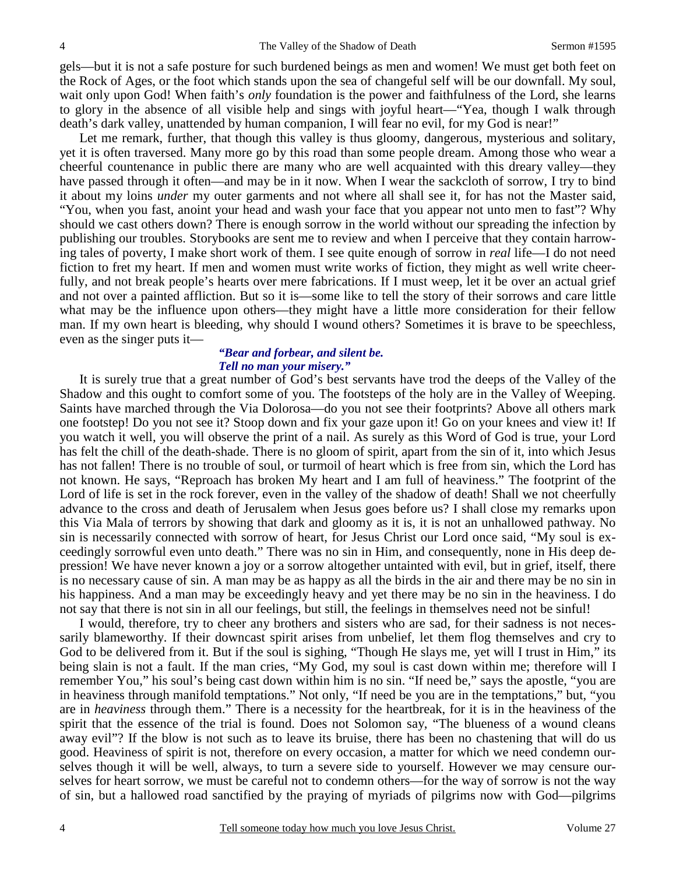gels—but it is not a safe posture for such burdened beings as men and women! We must get both feet on the Rock of Ages, or the foot which stands upon the sea of changeful self will be our downfall. My soul, wait only upon God! When faith's *only* foundation is the power and faithfulness of the Lord, she learns to glory in the absence of all visible help and sings with joyful heart—"Yea, though I walk through death's dark valley, unattended by human companion, I will fear no evil, for my God is near!"

 Let me remark, further, that though this valley is thus gloomy, dangerous, mysterious and solitary, yet it is often traversed. Many more go by this road than some people dream. Among those who wear a cheerful countenance in public there are many who are well acquainted with this dreary valley—they have passed through it often—and may be in it now. When I wear the sackcloth of sorrow, I try to bind it about my loins *under* my outer garments and not where all shall see it, for has not the Master said, "You, when you fast, anoint your head and wash your face that you appear not unto men to fast"? Why should we cast others down? There is enough sorrow in the world without our spreading the infection by publishing our troubles. Storybooks are sent me to review and when I perceive that they contain harrowing tales of poverty, I make short work of them. I see quite enough of sorrow in *real* life—I do not need fiction to fret my heart. If men and women must write works of fiction, they might as well write cheerfully, and not break people's hearts over mere fabrications. If I must weep, let it be over an actual grief and not over a painted affliction. But so it is—some like to tell the story of their sorrows and care little what may be the influence upon others—they might have a little more consideration for their fellow man. If my own heart is bleeding, why should I wound others? Sometimes it is brave to be speechless, even as the singer puts it—

#### *"Bear and forbear, and silent be. Tell no man your misery."*

It is surely true that a great number of God's best servants have trod the deeps of the Valley of the Shadow and this ought to comfort some of you. The footsteps of the holy are in the Valley of Weeping. Saints have marched through the Via Dolorosa—do you not see their footprints? Above all others mark one footstep! Do you not see it? Stoop down and fix your gaze upon it! Go on your knees and view it! If you watch it well, you will observe the print of a nail. As surely as this Word of God is true, your Lord has felt the chill of the death-shade. There is no gloom of spirit, apart from the sin of it, into which Jesus has not fallen! There is no trouble of soul, or turmoil of heart which is free from sin, which the Lord has not known. He says, "Reproach has broken My heart and I am full of heaviness." The footprint of the Lord of life is set in the rock forever, even in the valley of the shadow of death! Shall we not cheerfully advance to the cross and death of Jerusalem when Jesus goes before us? I shall close my remarks upon this Via Mala of terrors by showing that dark and gloomy as it is, it is not an unhallowed pathway. No sin is necessarily connected with sorrow of heart, for Jesus Christ our Lord once said, "My soul is exceedingly sorrowful even unto death." There was no sin in Him, and consequently, none in His deep depression! We have never known a joy or a sorrow altogether untainted with evil, but in grief, itself, there is no necessary cause of sin. A man may be as happy as all the birds in the air and there may be no sin in his happiness. And a man may be exceedingly heavy and yet there may be no sin in the heaviness. I do not say that there is not sin in all our feelings, but still, the feelings in themselves need not be sinful!

 I would, therefore, try to cheer any brothers and sisters who are sad, for their sadness is not necessarily blameworthy. If their downcast spirit arises from unbelief, let them flog themselves and cry to God to be delivered from it. But if the soul is sighing, "Though He slays me, yet will I trust in Him," its being slain is not a fault. If the man cries, "My God, my soul is cast down within me; therefore will I remember You," his soul's being cast down within him is no sin. "If need be," says the apostle, "you are in heaviness through manifold temptations." Not only, "If need be you are in the temptations," but, "you are in *heaviness* through them." There is a necessity for the heartbreak, for it is in the heaviness of the spirit that the essence of the trial is found. Does not Solomon say, "The blueness of a wound cleans away evil"? If the blow is not such as to leave its bruise, there has been no chastening that will do us good. Heaviness of spirit is not, therefore on every occasion, a matter for which we need condemn ourselves though it will be well, always, to turn a severe side to yourself. However we may censure ourselves for heart sorrow, we must be careful not to condemn others—for the way of sorrow is not the way of sin, but a hallowed road sanctified by the praying of myriads of pilgrims now with God—pilgrims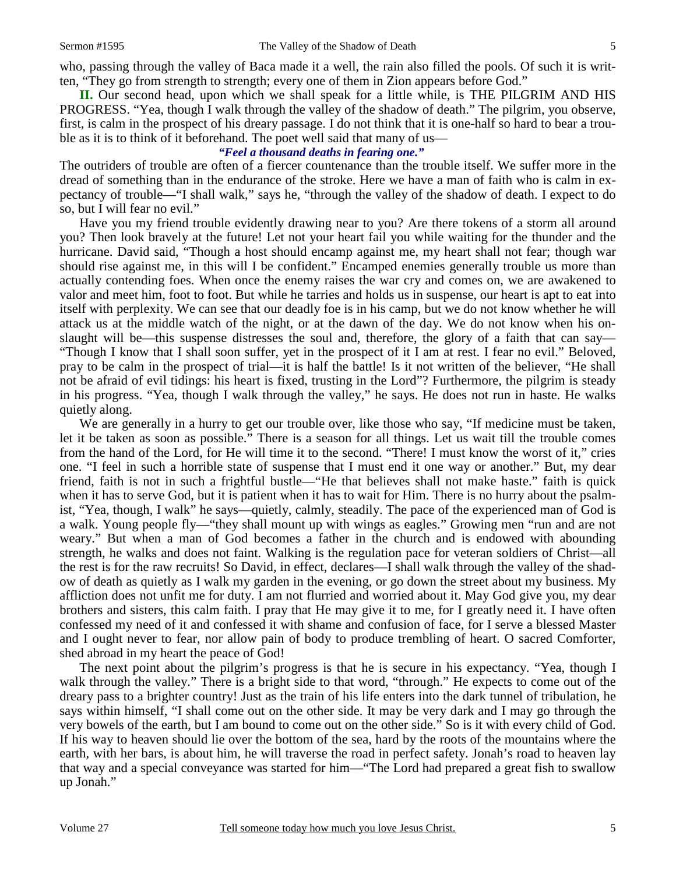who, passing through the valley of Baca made it a well, the rain also filled the pools. Of such it is written, "They go from strength to strength; every one of them in Zion appears before God."

**II.** Our second head, upon which we shall speak for a little while, is THE PILGRIM AND HIS PROGRESS. "Yea, though I walk through the valley of the shadow of death." The pilgrim, you observe, first, is calm in the prospect of his dreary passage. I do not think that it is one-half so hard to bear a trouble as it is to think of it beforehand. The poet well said that many of us—

### *"Feel a thousand deaths in fearing one."*

The outriders of trouble are often of a fiercer countenance than the trouble itself. We suffer more in the dread of something than in the endurance of the stroke. Here we have a man of faith who is calm in expectancy of trouble—"I shall walk," says he, "through the valley of the shadow of death. I expect to do so, but I will fear no evil."

 Have you my friend trouble evidently drawing near to you? Are there tokens of a storm all around you? Then look bravely at the future! Let not your heart fail you while waiting for the thunder and the hurricane. David said, "Though a host should encamp against me, my heart shall not fear; though war should rise against me, in this will I be confident." Encamped enemies generally trouble us more than actually contending foes. When once the enemy raises the war cry and comes on, we are awakened to valor and meet him, foot to foot. But while he tarries and holds us in suspense, our heart is apt to eat into itself with perplexity. We can see that our deadly foe is in his camp, but we do not know whether he will attack us at the middle watch of the night, or at the dawn of the day. We do not know when his onslaught will be—this suspense distresses the soul and, therefore, the glory of a faith that can say— "Though I know that I shall soon suffer, yet in the prospect of it I am at rest. I fear no evil." Beloved, pray to be calm in the prospect of trial—it is half the battle! Is it not written of the believer, "He shall not be afraid of evil tidings: his heart is fixed, trusting in the Lord"? Furthermore, the pilgrim is steady in his progress. "Yea, though I walk through the valley," he says. He does not run in haste. He walks quietly along.

We are generally in a hurry to get our trouble over, like those who say, "If medicine must be taken, let it be taken as soon as possible." There is a season for all things. Let us wait till the trouble comes from the hand of the Lord, for He will time it to the second. "There! I must know the worst of it," cries one. "I feel in such a horrible state of suspense that I must end it one way or another." But, my dear friend, faith is not in such a frightful bustle—"He that believes shall not make haste." faith is quick when it has to serve God, but it is patient when it has to wait for Him. There is no hurry about the psalmist, "Yea, though, I walk" he says—quietly, calmly, steadily. The pace of the experienced man of God is a walk. Young people fly—"they shall mount up with wings as eagles." Growing men "run and are not weary." But when a man of God becomes a father in the church and is endowed with abounding strength, he walks and does not faint. Walking is the regulation pace for veteran soldiers of Christ—all the rest is for the raw recruits! So David, in effect, declares—I shall walk through the valley of the shadow of death as quietly as I walk my garden in the evening, or go down the street about my business. My affliction does not unfit me for duty. I am not flurried and worried about it. May God give you, my dear brothers and sisters, this calm faith. I pray that He may give it to me, for I greatly need it. I have often confessed my need of it and confessed it with shame and confusion of face, for I serve a blessed Master and I ought never to fear, nor allow pain of body to produce trembling of heart. O sacred Comforter, shed abroad in my heart the peace of God!

 The next point about the pilgrim's progress is that he is secure in his expectancy. "Yea, though I walk through the valley." There is a bright side to that word, "through." He expects to come out of the dreary pass to a brighter country! Just as the train of his life enters into the dark tunnel of tribulation, he says within himself, "I shall come out on the other side. It may be very dark and I may go through the very bowels of the earth, but I am bound to come out on the other side." So is it with every child of God. If his way to heaven should lie over the bottom of the sea, hard by the roots of the mountains where the earth, with her bars, is about him, he will traverse the road in perfect safety. Jonah's road to heaven lay that way and a special conveyance was started for him—"The Lord had prepared a great fish to swallow up Jonah."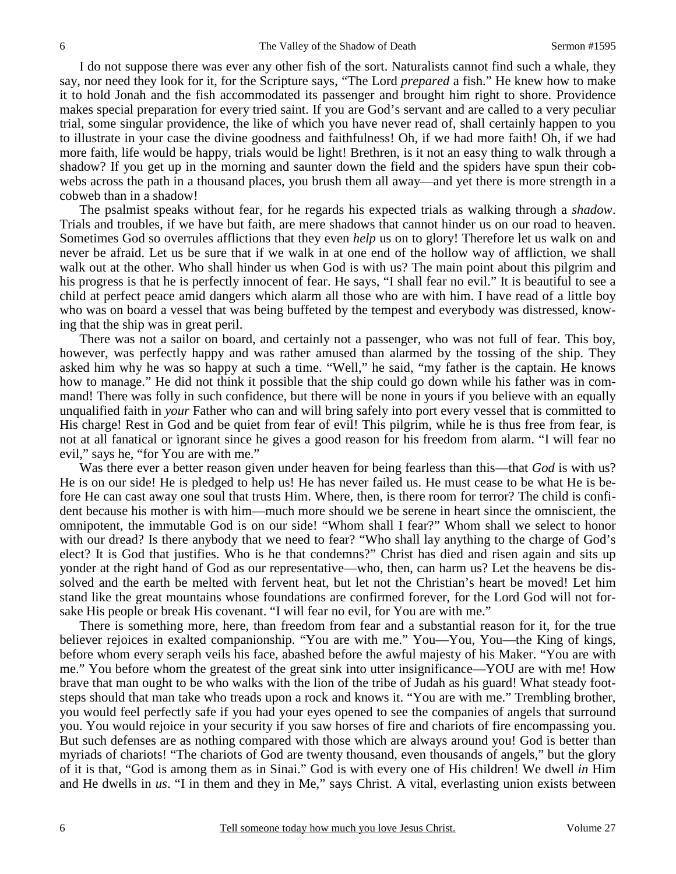I do not suppose there was ever any other fish of the sort. Naturalists cannot find such a whale, they say, nor need they look for it, for the Scripture says, "The Lord *prepared* a fish." He knew how to make it to hold Jonah and the fish accommodated its passenger and brought him right to shore. Providence makes special preparation for every tried saint. If you are God's servant and are called to a very peculiar trial, some singular providence, the like of which you have never read of, shall certainly happen to you to illustrate in your case the divine goodness and faithfulness! Oh, if we had more faith! Oh, if we had more faith, life would be happy, trials would be light! Brethren, is it not an easy thing to walk through a shadow? If you get up in the morning and saunter down the field and the spiders have spun their cobwebs across the path in a thousand places, you brush them all away—and yet there is more strength in a cobweb than in a shadow!

 The psalmist speaks without fear, for he regards his expected trials as walking through a *shadow*. Trials and troubles, if we have but faith, are mere shadows that cannot hinder us on our road to heaven. Sometimes God so overrules afflictions that they even *help* us on to glory! Therefore let us walk on and never be afraid. Let us be sure that if we walk in at one end of the hollow way of affliction, we shall walk out at the other. Who shall hinder us when God is with us? The main point about this pilgrim and his progress is that he is perfectly innocent of fear. He says, "I shall fear no evil." It is beautiful to see a child at perfect peace amid dangers which alarm all those who are with him. I have read of a little boy who was on board a vessel that was being buffeted by the tempest and everybody was distressed, knowing that the ship was in great peril.

 There was not a sailor on board, and certainly not a passenger, who was not full of fear. This boy, however, was perfectly happy and was rather amused than alarmed by the tossing of the ship. They asked him why he was so happy at such a time. "Well," he said, "my father is the captain. He knows how to manage." He did not think it possible that the ship could go down while his father was in command! There was folly in such confidence, but there will be none in yours if you believe with an equally unqualified faith in *your* Father who can and will bring safely into port every vessel that is committed to His charge! Rest in God and be quiet from fear of evil! This pilgrim, while he is thus free from fear, is not at all fanatical or ignorant since he gives a good reason for his freedom from alarm. "I will fear no evil," says he, "for You are with me."

 Was there ever a better reason given under heaven for being fearless than this—that *God* is with us? He is on our side! He is pledged to help us! He has never failed us. He must cease to be what He is before He can cast away one soul that trusts Him. Where, then, is there room for terror? The child is confident because his mother is with him—much more should we be serene in heart since the omniscient, the omnipotent, the immutable God is on our side! "Whom shall I fear?" Whom shall we select to honor with our dread? Is there anybody that we need to fear? "Who shall lay anything to the charge of God's elect? It is God that justifies. Who is he that condemns?" Christ has died and risen again and sits up yonder at the right hand of God as our representative—who, then, can harm us? Let the heavens be dissolved and the earth be melted with fervent heat, but let not the Christian's heart be moved! Let him stand like the great mountains whose foundations are confirmed forever, for the Lord God will not forsake His people or break His covenant. "I will fear no evil, for You are with me."

 There is something more, here, than freedom from fear and a substantial reason for it, for the true believer rejoices in exalted companionship. "You are with me." You—You, You—the King of kings, before whom every seraph veils his face, abashed before the awful majesty of his Maker. "You are with me." You before whom the greatest of the great sink into utter insignificance—YOU are with me! How brave that man ought to be who walks with the lion of the tribe of Judah as his guard! What steady footsteps should that man take who treads upon a rock and knows it. "You are with me." Trembling brother, you would feel perfectly safe if you had your eyes opened to see the companies of angels that surround you. You would rejoice in your security if you saw horses of fire and chariots of fire encompassing you. But such defenses are as nothing compared with those which are always around you! God is better than myriads of chariots! "The chariots of God are twenty thousand, even thousands of angels," but the glory of it is that, "God is among them as in Sinai." God is with every one of His children! We dwell *in* Him and He dwells in *us*. "I in them and they in Me," says Christ. A vital, everlasting union exists between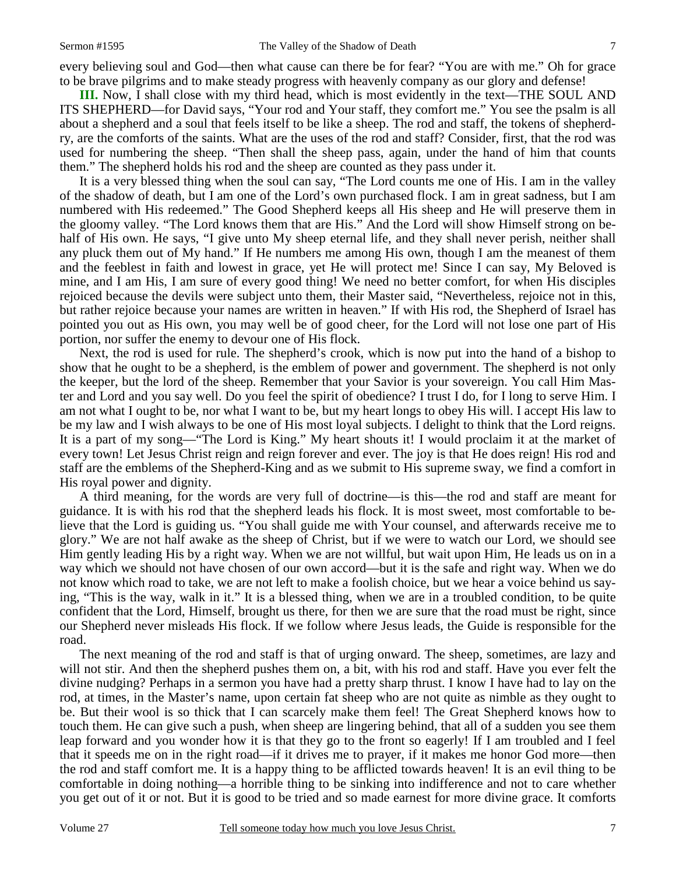every believing soul and God—then what cause can there be for fear? "You are with me." Oh for grace to be brave pilgrims and to make steady progress with heavenly company as our glory and defense!

**III.** Now, I shall close with my third head, which is most evidently in the text—THE SOUL AND ITS SHEPHERD—for David says, "Your rod and Your staff, they comfort me." You see the psalm is all about a shepherd and a soul that feels itself to be like a sheep. The rod and staff, the tokens of shepherdry, are the comforts of the saints. What are the uses of the rod and staff? Consider, first, that the rod was used for numbering the sheep. "Then shall the sheep pass, again, under the hand of him that counts them." The shepherd holds his rod and the sheep are counted as they pass under it.

 It is a very blessed thing when the soul can say, "The Lord counts me one of His. I am in the valley of the shadow of death, but I am one of the Lord's own purchased flock. I am in great sadness, but I am numbered with His redeemed." The Good Shepherd keeps all His sheep and He will preserve them in the gloomy valley. "The Lord knows them that are His." And the Lord will show Himself strong on behalf of His own. He says, "I give unto My sheep eternal life, and they shall never perish, neither shall any pluck them out of My hand." If He numbers me among His own, though I am the meanest of them and the feeblest in faith and lowest in grace, yet He will protect me! Since I can say, My Beloved is mine, and I am His, I am sure of every good thing! We need no better comfort, for when His disciples rejoiced because the devils were subject unto them, their Master said, "Nevertheless, rejoice not in this, but rather rejoice because your names are written in heaven." If with His rod, the Shepherd of Israel has pointed you out as His own, you may well be of good cheer, for the Lord will not lose one part of His portion, nor suffer the enemy to devour one of His flock.

 Next, the rod is used for rule. The shepherd's crook, which is now put into the hand of a bishop to show that he ought to be a shepherd, is the emblem of power and government. The shepherd is not only the keeper, but the lord of the sheep. Remember that your Savior is your sovereign. You call Him Master and Lord and you say well. Do you feel the spirit of obedience? I trust I do, for I long to serve Him. I am not what I ought to be, nor what I want to be, but my heart longs to obey His will. I accept His law to be my law and I wish always to be one of His most loyal subjects. I delight to think that the Lord reigns. It is a part of my song—"The Lord is King." My heart shouts it! I would proclaim it at the market of every town! Let Jesus Christ reign and reign forever and ever. The joy is that He does reign! His rod and staff are the emblems of the Shepherd-King and as we submit to His supreme sway, we find a comfort in His royal power and dignity.

 A third meaning, for the words are very full of doctrine—is this—the rod and staff are meant for guidance. It is with his rod that the shepherd leads his flock. It is most sweet, most comfortable to believe that the Lord is guiding us. "You shall guide me with Your counsel, and afterwards receive me to glory." We are not half awake as the sheep of Christ, but if we were to watch our Lord, we should see Him gently leading His by a right way. When we are not willful, but wait upon Him, He leads us on in a way which we should not have chosen of our own accord—but it is the safe and right way. When we do not know which road to take, we are not left to make a foolish choice, but we hear a voice behind us saying, "This is the way, walk in it." It is a blessed thing, when we are in a troubled condition, to be quite confident that the Lord, Himself, brought us there, for then we are sure that the road must be right, since our Shepherd never misleads His flock. If we follow where Jesus leads, the Guide is responsible for the road.

 The next meaning of the rod and staff is that of urging onward. The sheep, sometimes, are lazy and will not stir. And then the shepherd pushes them on, a bit, with his rod and staff. Have you ever felt the divine nudging? Perhaps in a sermon you have had a pretty sharp thrust. I know I have had to lay on the rod, at times, in the Master's name, upon certain fat sheep who are not quite as nimble as they ought to be. But their wool is so thick that I can scarcely make them feel! The Great Shepherd knows how to touch them. He can give such a push, when sheep are lingering behind, that all of a sudden you see them leap forward and you wonder how it is that they go to the front so eagerly! If I am troubled and I feel that it speeds me on in the right road—if it drives me to prayer, if it makes me honor God more—then the rod and staff comfort me. It is a happy thing to be afflicted towards heaven! It is an evil thing to be comfortable in doing nothing—a horrible thing to be sinking into indifference and not to care whether you get out of it or not. But it is good to be tried and so made earnest for more divine grace. It comforts